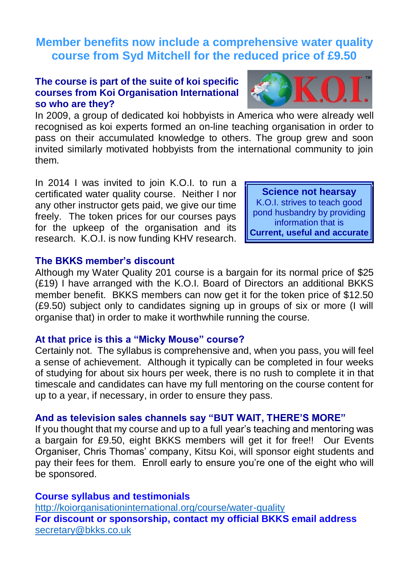# **Member benefits now include a comprehensive water quality course from Syd Mitchell for the reduced price of £9.50**

# **The course is part of the suite of koi specific courses from Koi Organisation International so who are they?**

In 2009, a group of dedicated koi hobbyists in America who were already well recognised as koi experts formed an on-line teaching organisation in order to pass on their accumulated knowledge to others. The group grew and soon invited similarly motivated hobbyists from the international community to join them.

In 2014 I was invited to join K.O.I. to run a certificated water quality course. Neither I nor any other instructor gets paid, we give our time freely. The token prices for our courses pays for the upkeep of the organisation and its research. K.O.I. is now funding KHV research.

**Science not hearsay** K.O.I. strives to teach good pond husbandry by providing information that is **Current, useful and accurate**

# **The BKKS member's discount**

Although my Water Quality 201 course is a bargain for its normal price of \$25 (£19) I have arranged with the K.O.I. Board of Directors an additional BKKS member benefit. BKKS members can now get it for the token price of \$12.50 (£9.50) subject only to candidates signing up in groups of six or more (I will organise that) in order to make it worthwhile running the course.

# **At that price is this a "Micky Mouse" course?**

Certainly not. The syllabus is comprehensive and, when you pass, you will feel a sense of achievement. Although it typically can be completed in four weeks of studying for about six hours per week, there is no rush to complete it in that timescale and candidates can have my full mentoring on the course content for up to a year, if necessary, in order to ensure they pass.

#### **And as television sales channels say "BUT WAIT, THERE'S MORE"**

If you thought that my course and up to a full year's teaching and mentoring was a bargain for £9.50, eight BKKS members will get it for free!! Our Events Organiser, Chris Thomas' company, Kitsu Koi, will sponsor eight students and pay their fees for them. Enroll early to ensure you're one of the eight who will be sponsored.

#### **Course syllabus and testimonials**

<http://koiorganisationinternational.org/course/water-quality> **For discount or sponsorship, contact my official BKKS email address** [secretary@bkks.co.uk](mailto:secretary@bkks.co.uk)